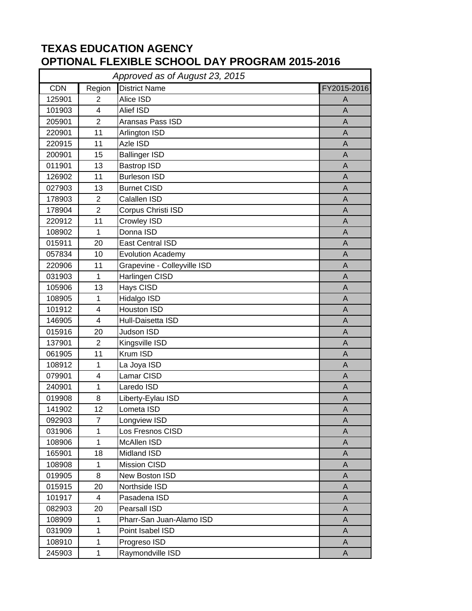## **TEXAS EDUCATION AGENCY OPTIONAL FLEXIBLE SCHOOL DAY PROGRAM 2015-2016**

| Approved as of August 23, 2015 |                         |                             |                |  |
|--------------------------------|-------------------------|-----------------------------|----------------|--|
| <b>CDN</b>                     | Region                  | <b>District Name</b>        | FY2015-2016    |  |
| 125901                         | $\overline{2}$          | Alice ISD                   | A              |  |
| 101903                         | $\overline{4}$          | <b>Alief ISD</b>            | A              |  |
| 205901                         | $\overline{2}$          | Aransas Pass ISD            | $\mathsf{A}$   |  |
| 220901                         | 11                      | Arlington ISD               | $\mathsf{A}$   |  |
| 220915                         | 11                      | Azle ISD                    | A              |  |
| 200901                         | 15                      | <b>Ballinger ISD</b>        | A              |  |
| 011901                         | 13                      | <b>Bastrop ISD</b>          | A              |  |
| 126902                         | 11                      | <b>Burleson ISD</b>         | A              |  |
| 027903                         | 13                      | <b>Burnet CISD</b>          | $\mathsf{A}$   |  |
| 178903                         | $\overline{2}$          | Calallen ISD                | A              |  |
| 178904                         | $\overline{2}$          | Corpus Christi ISD          | $\overline{A}$ |  |
| 220912                         | 11                      | <b>Crowley ISD</b>          | A              |  |
| 108902                         | $\mathbf{1}$            | Donna ISD                   | A              |  |
| 015911                         | 20                      | East Central ISD            | $\mathsf{A}$   |  |
| 057834                         | 10                      | <b>Evolution Academy</b>    | A              |  |
| 220906                         | 11                      | Grapevine - Colleyville ISD | $\mathsf{A}$   |  |
| 031903                         | $\mathbf{1}$            | Harlingen CISD              | $\mathsf{A}$   |  |
| 105906                         | 13                      | Hays CISD                   | A              |  |
| 108905                         | $\mathbf{1}$            | Hidalgo ISD                 | $\overline{A}$ |  |
| 101912                         | 4                       | <b>Houston ISD</b>          | A              |  |
| 146905                         | 4                       | Hull-Daisetta ISD           | $\mathsf{A}$   |  |
| 015916                         | 20                      | <b>Judson ISD</b>           | $\overline{A}$ |  |
| 137901                         | $\overline{2}$          | Kingsville ISD              | A              |  |
| 061905                         | 11                      | Krum ISD                    | A              |  |
| 108912                         | $\mathbf 1$             | La Joya ISD                 | A              |  |
| 079901                         | 4                       | Lamar CISD                  | A              |  |
| 240901                         | $\mathbf{1}$            | Laredo ISD                  | $\mathsf{A}$   |  |
| 019908                         | 8                       | Liberty-Eylau ISD           | A              |  |
| 141902                         | 12                      | Lometa ISD                  | A              |  |
| 092903                         | $\overline{7}$          | Longview ISD                | A              |  |
| 031906                         | $\mathbf{1}$            | Los Fresnos CISD            | A              |  |
| 108906                         | $\mathbf 1$             | McAllen ISD                 | A              |  |
| 165901                         | 18                      | Midland ISD                 | A              |  |
| 108908                         | $\mathbf{1}$            | Mission CISD                | A              |  |
| 019905                         | 8                       | New Boston ISD              | A              |  |
| 015915                         | 20                      | Northside ISD               | A              |  |
| 101917                         | $\overline{\mathbf{4}}$ | Pasadena ISD                | A              |  |
| 082903                         | 20                      | Pearsall ISD                | A              |  |
| 108909                         | $\mathbf 1$             | Pharr-San Juan-Alamo ISD    | A              |  |
| 031909                         | $\mathbf{1}$            | Point Isabel ISD            | A              |  |
| 108910                         | $\mathbf 1$             | Progreso ISD                | A              |  |
| 245903                         | $\mathbf{1}$            | Raymondville ISD            | A              |  |